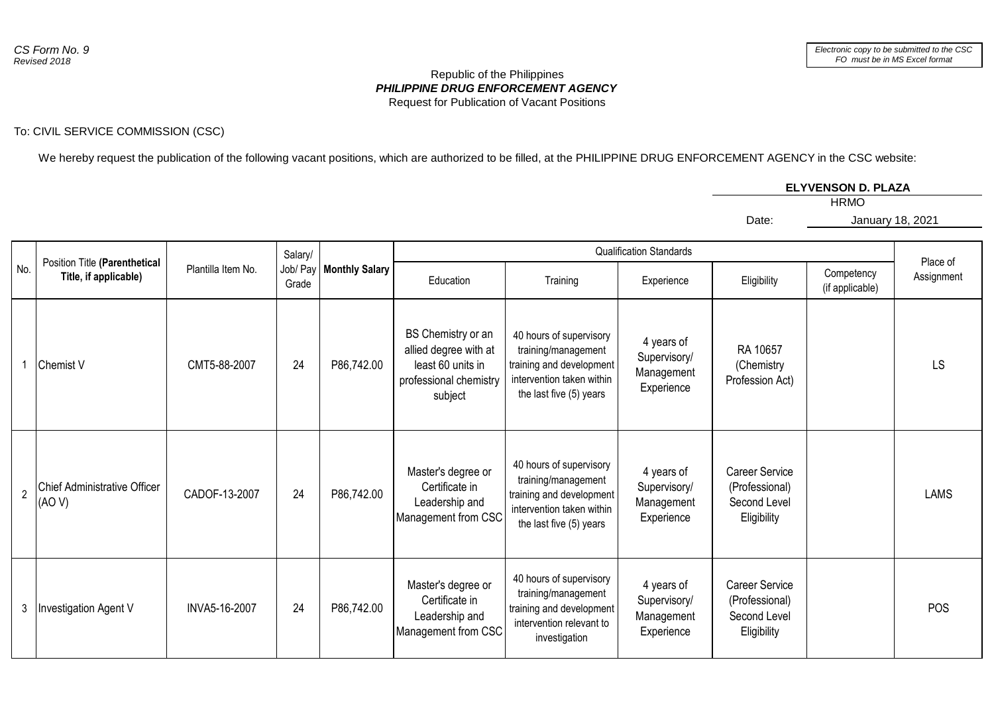## *PHILIPPINE DRUG ENFORCEMENT AGENCY* Republic of the Philippines Request for Publication of Vacant Positions

## To: CIVIL SERVICE COMMISSION (CSC)

We hereby request the publication of the following vacant positions, which are authorized to be filled, at the PHILIPPINE DRUG ENFORCEMENT AGENCY in the CSC website:

## **ELYVENSON D. PLAZA**

HRMO

January 18, 2021

Date:

|                |                                                        |                    | Salary/ |                           |                                                                                                       |                                                                                                                                    | <b>Qualification Standards</b>                         |                                                                        |                               | Place of    |
|----------------|--------------------------------------------------------|--------------------|---------|---------------------------|-------------------------------------------------------------------------------------------------------|------------------------------------------------------------------------------------------------------------------------------------|--------------------------------------------------------|------------------------------------------------------------------------|-------------------------------|-------------|
| No.            | Position Title (Parenthetical<br>Title, if applicable) | Plantilla Item No. | Grade   | Job/ Pay   Monthly Salary | Education                                                                                             | Training                                                                                                                           | Experience                                             | Eligibility                                                            | Competency<br>(if applicable) | Assignment  |
|                | <b>Chemist V</b>                                       | CMT5-88-2007       | 24      | P86,742.00                | BS Chemistry or an<br>allied degree with at<br>least 60 units in<br>professional chemistry<br>subject | 40 hours of supervisory<br>training/management<br>training and development<br>intervention taken within<br>the last five (5) years | 4 years of<br>Supervisory/<br>Management<br>Experience | RA 10657<br>(Chemistry<br>Profession Act)                              |                               | <b>LS</b>   |
| $\overline{2}$ | Chief Administrative Officer<br>(AO V)                 | CADOF-13-2007      | 24      | P86,742.00                | Master's degree or<br>Certificate in<br>Leadership and<br>Management from CSC                         | 40 hours of supervisory<br>training/management<br>training and development<br>intervention taken within<br>the last five (5) years | 4 years of<br>Supervisory/<br>Management<br>Experience | <b>Career Service</b><br>(Professional)<br>Second Level<br>Eligibility |                               | <b>LAMS</b> |
| 3              | <b>Investigation Agent V</b>                           | INVA5-16-2007      | 24      | P86,742.00                | Master's degree or<br>Certificate in<br>Leadership and<br>Management from CSC                         | 40 hours of supervisory<br>training/management<br>training and development<br>intervention relevant to<br>investigation            | 4 years of<br>Supervisory/<br>Management<br>Experience | <b>Career Service</b><br>(Professional)<br>Second Level<br>Eligibility |                               | <b>POS</b>  |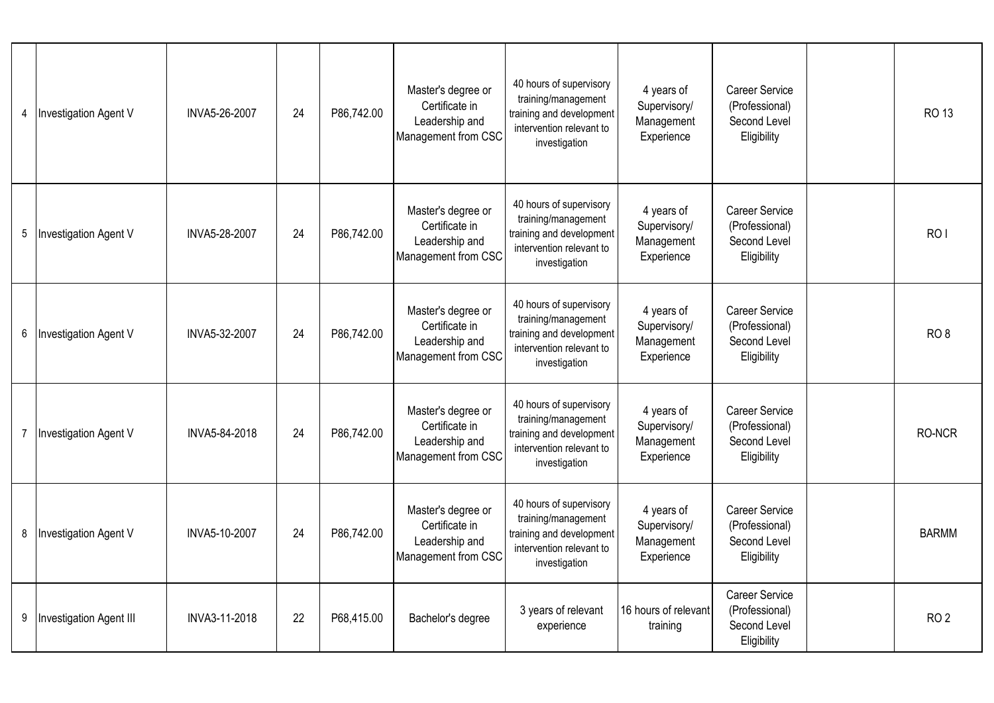| 4 | Investigation Agent V          | INVA5-26-2007 | 24 | P86,742.00 | Master's degree or<br>Certificate in<br>Leadership and<br>Management from CSC | 40 hours of supervisory<br>training/management<br>training and development<br>intervention relevant to<br>investigation | 4 years of<br>Supervisory/<br>Management<br>Experience | <b>Career Service</b><br>(Professional)<br>Second Level<br>Eligibility | <b>RO 13</b>    |
|---|--------------------------------|---------------|----|------------|-------------------------------------------------------------------------------|-------------------------------------------------------------------------------------------------------------------------|--------------------------------------------------------|------------------------------------------------------------------------|-----------------|
| 5 | <b>Investigation Agent V</b>   | INVA5-28-2007 | 24 | P86,742.00 | Master's degree or<br>Certificate in<br>Leadership and<br>Management from CSC | 40 hours of supervisory<br>training/management<br>training and development<br>intervention relevant to<br>investigation | 4 years of<br>Supervisory/<br>Management<br>Experience | Career Service<br>(Professional)<br>Second Level<br>Eligibility        | RO <sub>1</sub> |
| 6 | Investigation Agent V          | INVA5-32-2007 | 24 | P86,742.00 | Master's degree or<br>Certificate in<br>Leadership and<br>Management from CSC | 40 hours of supervisory<br>training/management<br>training and development<br>intervention relevant to<br>investigation | 4 years of<br>Supervisory/<br>Management<br>Experience | Career Service<br>(Professional)<br>Second Level<br>Eligibility        | RO <sub>8</sub> |
|   | Investigation Agent V          | INVA5-84-2018 | 24 | P86,742.00 | Master's degree or<br>Certificate in<br>Leadership and<br>Management from CSC | 40 hours of supervisory<br>training/management<br>training and development<br>intervention relevant to<br>investigation | 4 years of<br>Supervisory/<br>Management<br>Experience | <b>Career Service</b><br>(Professional)<br>Second Level<br>Eligibility | RO-NCR          |
| 8 | <b>Investigation Agent V</b>   | INVA5-10-2007 | 24 | P86,742.00 | Master's degree or<br>Certificate in<br>Leadership and<br>Management from CSC | 40 hours of supervisory<br>training/management<br>training and development<br>intervention relevant to<br>investigation | 4 years of<br>Supervisory/<br>Management<br>Experience | Career Service<br>(Professional)<br>Second Level<br>Eligibility        | <b>BARMM</b>    |
| 9 | <b>Investigation Agent III</b> | INVA3-11-2018 | 22 | P68,415.00 | Bachelor's degree                                                             | 3 years of relevant<br>experience                                                                                       | 16 hours of relevant<br>training                       | <b>Career Service</b><br>(Professional)<br>Second Level<br>Eligibility | RO <sub>2</sub> |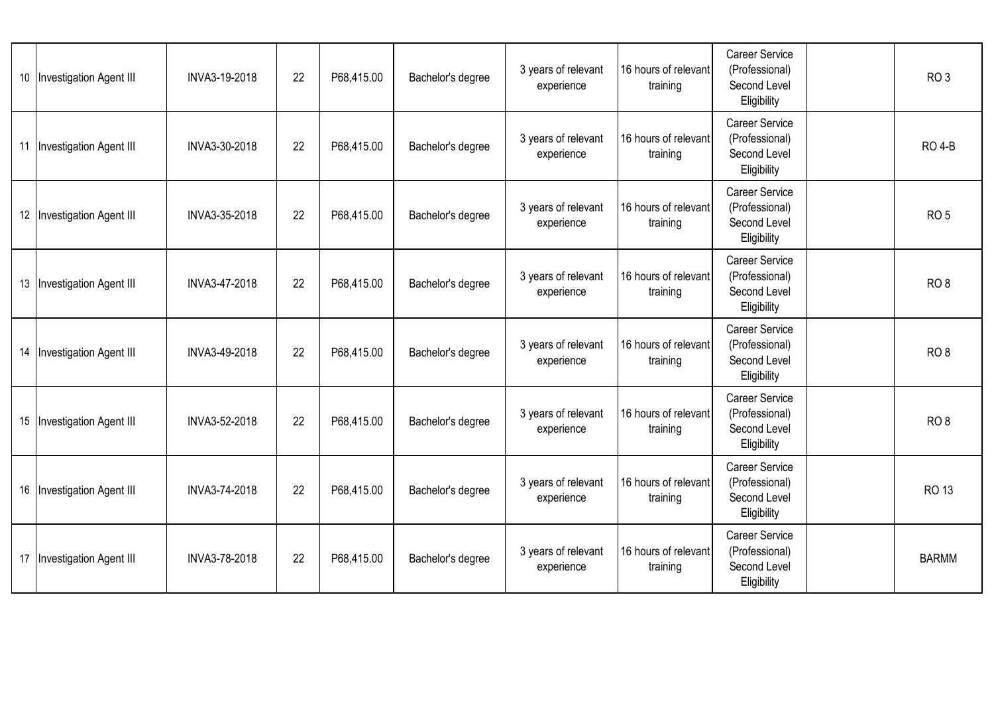| 10 | <b>Investigation Agent III</b> | INVA3-19-2018 | 22 | P68,415.00 | Bachelor's degree | 3 years of relevant<br>experience | 16 hours of relevant<br>training | <b>Career Service</b><br>(Professional)<br>Second Level<br>Eligibility | RO <sub>3</sub> |
|----|--------------------------------|---------------|----|------------|-------------------|-----------------------------------|----------------------------------|------------------------------------------------------------------------|-----------------|
| 11 | Investigation Agent III        | INVA3-30-2018 | 22 | P68,415.00 | Bachelor's degree | 3 years of relevant<br>experience | 16 hours of relevant<br>training | Career Service<br>(Professional)<br>Second Level<br>Eligibility        | <b>RO 4-B</b>   |
|    | 12 Investigation Agent III     | INVA3-35-2018 | 22 | P68,415.00 | Bachelor's degree | 3 years of relevant<br>experience | 16 hours of relevant<br>training | Career Service<br>(Professional)<br>Second Level<br>Eligibility        | RO <sub>5</sub> |
|    | 13 Investigation Agent III     | INVA3-47-2018 | 22 | P68,415.00 | Bachelor's degree | 3 years of relevant<br>experience | 16 hours of relevant<br>training | <b>Career Service</b><br>(Professional)<br>Second Level<br>Eligibility | RO <sub>8</sub> |
| 14 | <b>Investigation Agent III</b> | INVA3-49-2018 | 22 | P68,415.00 | Bachelor's degree | 3 years of relevant<br>experience | 16 hours of relevant<br>training | <b>Career Service</b><br>(Professional)<br>Second Level<br>Eligibility | RO <sub>8</sub> |
|    | 15   Investigation Agent III   | INVA3-52-2018 | 22 | P68,415.00 | Bachelor's degree | 3 years of relevant<br>experience | 16 hours of relevant<br>training | Career Service<br>(Professional)<br>Second Level<br>Eligibility        | RO <sub>8</sub> |
|    | 16 Investigation Agent III     | INVA3-74-2018 | 22 | P68,415.00 | Bachelor's degree | 3 years of relevant<br>experience | 16 hours of relevant<br>training | <b>Career Service</b><br>(Professional)<br>Second Level<br>Eligibility | <b>RO 13</b>    |
| 17 | Investigation Agent III        | INVA3-78-2018 | 22 | P68,415.00 | Bachelor's degree | 3 years of relevant<br>experience | 16 hours of relevant<br>training | <b>Career Service</b><br>(Professional)<br>Second Level<br>Eligibility | <b>BARMM</b>    |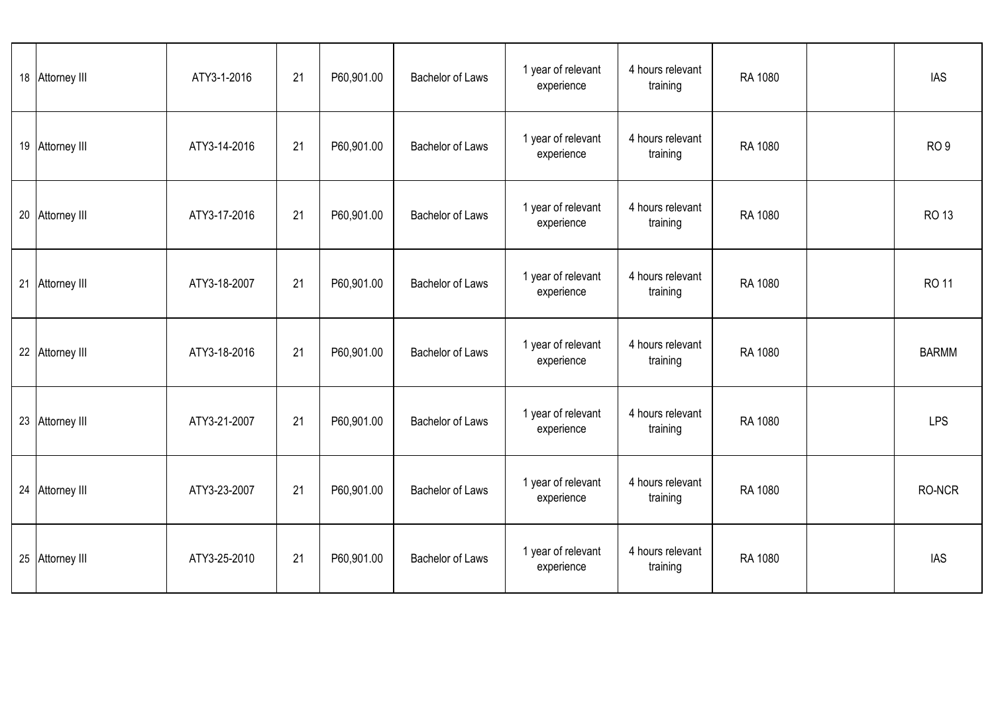|    | 18 Attorney III     | ATY3-1-2016  | 21 | P60,901.00 | <b>Bachelor of Laws</b> | 1 year of relevant<br>experience | 4 hours relevant<br>training | RA 1080 | <b>IAS</b>      |
|----|---------------------|--------------|----|------------|-------------------------|----------------------------------|------------------------------|---------|-----------------|
| 19 | <b>Attorney III</b> | ATY3-14-2016 | 21 | P60,901.00 | <b>Bachelor of Laws</b> | 1 year of relevant<br>experience | 4 hours relevant<br>training | RA 1080 | RO <sub>9</sub> |
|    | 20 Attorney III     | ATY3-17-2016 | 21 | P60,901.00 | <b>Bachelor of Laws</b> | 1 year of relevant<br>experience | 4 hours relevant<br>training | RA 1080 | <b>RO 13</b>    |
| 21 | Attorney III        | ATY3-18-2007 | 21 | P60,901.00 | <b>Bachelor of Laws</b> | 1 year of relevant<br>experience | 4 hours relevant<br>training | RA 1080 | <b>RO 11</b>    |
| 22 | Attorney III        | ATY3-18-2016 | 21 | P60,901.00 | <b>Bachelor of Laws</b> | 1 year of relevant<br>experience | 4 hours relevant<br>training | RA 1080 | <b>BARMM</b>    |
|    | 23 Attorney III     | ATY3-21-2007 | 21 | P60,901.00 | <b>Bachelor of Laws</b> | 1 year of relevant<br>experience | 4 hours relevant<br>training | RA 1080 | <b>LPS</b>      |
| 24 | <b>Attorney III</b> | ATY3-23-2007 | 21 | P60,901.00 | <b>Bachelor of Laws</b> | 1 year of relevant<br>experience | 4 hours relevant<br>training | RA 1080 | RO-NCR          |
| 25 | Attorney III        | ATY3-25-2010 | 21 | P60,901.00 | <b>Bachelor of Laws</b> | 1 year of relevant<br>experience | 4 hours relevant<br>training | RA 1080 | <b>IAS</b>      |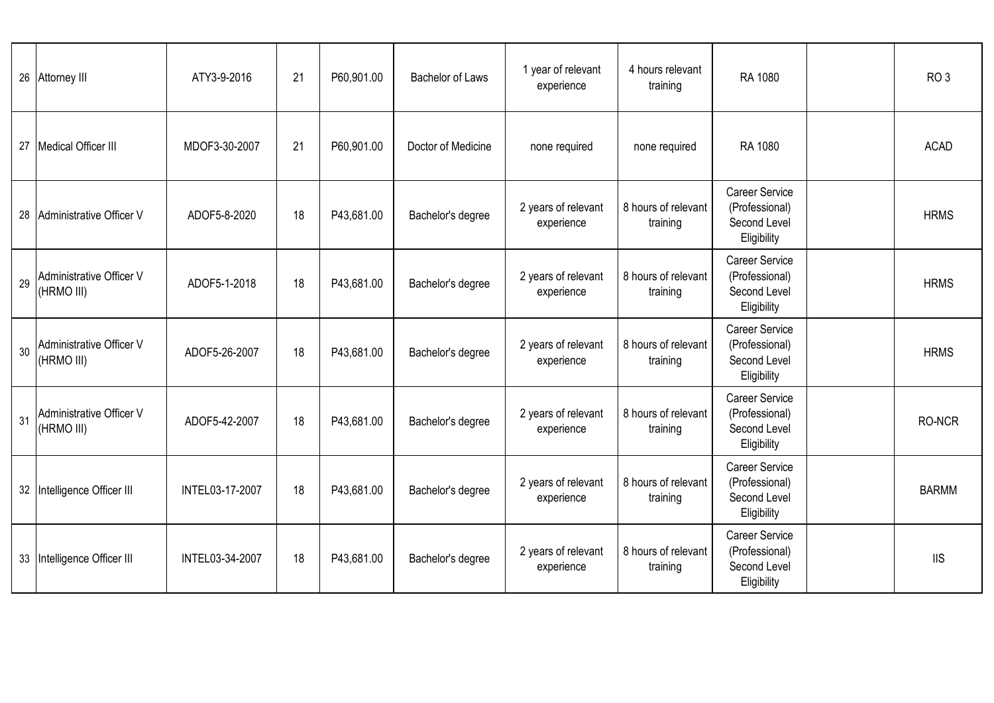| 26 | Attorney III                           | ATY3-9-2016     | 21 | P60,901.00 | <b>Bachelor of Laws</b> | 1 year of relevant<br>experience  | 4 hours relevant<br>training    | RA 1080                                                                | RO <sub>3</sub> |
|----|----------------------------------------|-----------------|----|------------|-------------------------|-----------------------------------|---------------------------------|------------------------------------------------------------------------|-----------------|
| 27 | <b>Medical Officer III</b>             | MDOF3-30-2007   | 21 | P60,901.00 | Doctor of Medicine      | none required                     | none required                   | RA 1080                                                                | <b>ACAD</b>     |
| 28 | Administrative Officer V               | ADOF5-8-2020    | 18 | P43,681.00 | Bachelor's degree       | 2 years of relevant<br>experience | 8 hours of relevant<br>training | <b>Career Service</b><br>(Professional)<br>Second Level<br>Eligibility | <b>HRMS</b>     |
| 29 | Administrative Officer V<br>(HRMO III) | ADOF5-1-2018    | 18 | P43,681.00 | Bachelor's degree       | 2 years of relevant<br>experience | 8 hours of relevant<br>training | <b>Career Service</b><br>(Professional)<br>Second Level<br>Eligibility | <b>HRMS</b>     |
| 30 | Administrative Officer V<br>(HRMO III) | ADOF5-26-2007   | 18 | P43,681.00 | Bachelor's degree       | 2 years of relevant<br>experience | 8 hours of relevant<br>training | Career Service<br>(Professional)<br>Second Level<br>Eligibility        | <b>HRMS</b>     |
| 31 | Administrative Officer V<br>(HRMO III) | ADOF5-42-2007   | 18 | P43,681.00 | Bachelor's degree       | 2 years of relevant<br>experience | 8 hours of relevant<br>training | <b>Career Service</b><br>(Professional)<br>Second Level<br>Eligibility | RO-NCR          |
|    | 32 Intelligence Officer III            | INTEL03-17-2007 | 18 | P43,681.00 | Bachelor's degree       | 2 years of relevant<br>experience | 8 hours of relevant<br>training | Career Service<br>(Professional)<br>Second Level<br>Eligibility        | <b>BARMM</b>    |
| 33 | Intelligence Officer III               | INTEL03-34-2007 | 18 | P43,681.00 | Bachelor's degree       | 2 years of relevant<br>experience | 8 hours of relevant<br>training | <b>Career Service</b><br>(Professional)<br>Second Level<br>Eligibility | <b>IIS</b>      |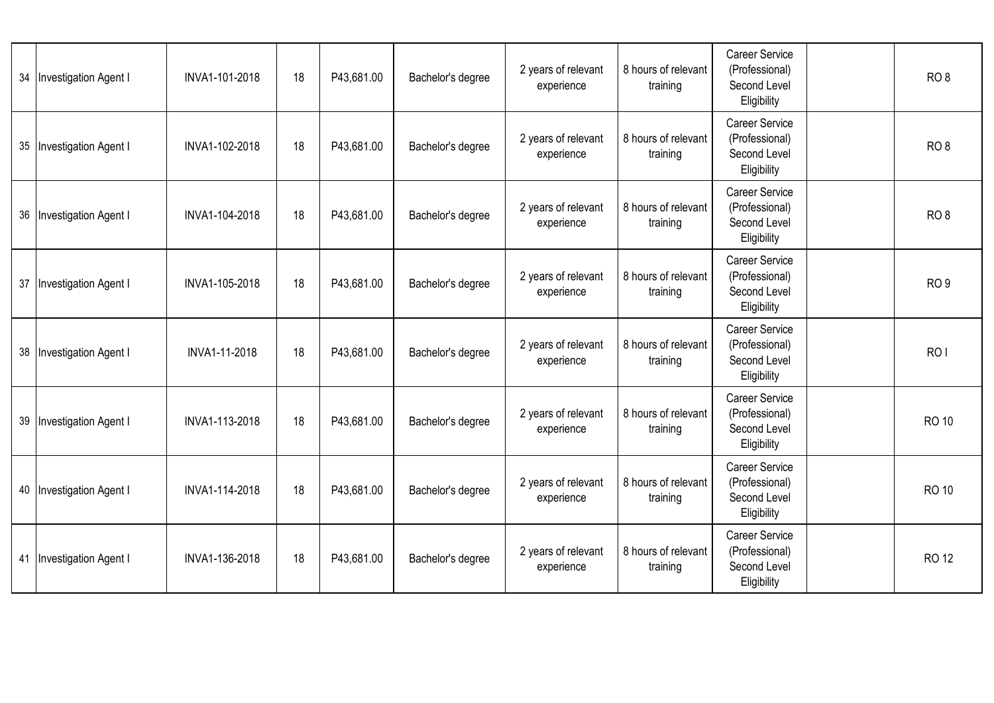| 34 | <b>Investigation Agent I</b> | INVA1-101-2018 | 18 | P43,681.00 | Bachelor's degree | 2 years of relevant<br>experience | 8 hours of relevant<br>training | <b>Career Service</b><br>(Professional)<br>Second Level<br>Eligibility | RO <sub>8</sub> |
|----|------------------------------|----------------|----|------------|-------------------|-----------------------------------|---------------------------------|------------------------------------------------------------------------|-----------------|
|    | 35   Investigation Agent I   | INVA1-102-2018 | 18 | P43,681.00 | Bachelor's degree | 2 years of relevant<br>experience | 8 hours of relevant<br>training | Career Service<br>(Professional)<br>Second Level<br>Eligibility        | RO <sub>8</sub> |
|    | 36   Investigation Agent I   | INVA1-104-2018 | 18 | P43,681.00 | Bachelor's degree | 2 years of relevant<br>experience | 8 hours of relevant<br>training | Career Service<br>(Professional)<br>Second Level<br>Eligibility        | RO <sub>8</sub> |
| 37 | <b>Investigation Agent I</b> | INVA1-105-2018 | 18 | P43,681.00 | Bachelor's degree | 2 years of relevant<br>experience | 8 hours of relevant<br>training | <b>Career Service</b><br>(Professional)<br>Second Level<br>Eligibility | RO <sub>9</sub> |
| 38 | <b>Investigation Agent I</b> | INVA1-11-2018  | 18 | P43,681.00 | Bachelor's degree | 2 years of relevant<br>experience | 8 hours of relevant<br>training | Career Service<br>(Professional)<br>Second Level<br>Eligibility        | RO <sub>I</sub> |
|    | 39   Investigation Agent I   | INVA1-113-2018 | 18 | P43,681.00 | Bachelor's degree | 2 years of relevant<br>experience | 8 hours of relevant<br>training | Career Service<br>(Professional)<br>Second Level<br>Eligibility        | <b>RO 10</b>    |
|    | 40   Investigation Agent I   | INVA1-114-2018 | 18 | P43,681.00 | Bachelor's degree | 2 years of relevant<br>experience | 8 hours of relevant<br>training | <b>Career Service</b><br>(Professional)<br>Second Level<br>Eligibility | <b>RO 10</b>    |
| 41 | <b>Investigation Agent I</b> | INVA1-136-2018 | 18 | P43,681.00 | Bachelor's degree | 2 years of relevant<br>experience | 8 hours of relevant<br>training | <b>Career Service</b><br>(Professional)<br>Second Level<br>Eligibility | <b>RO 12</b>    |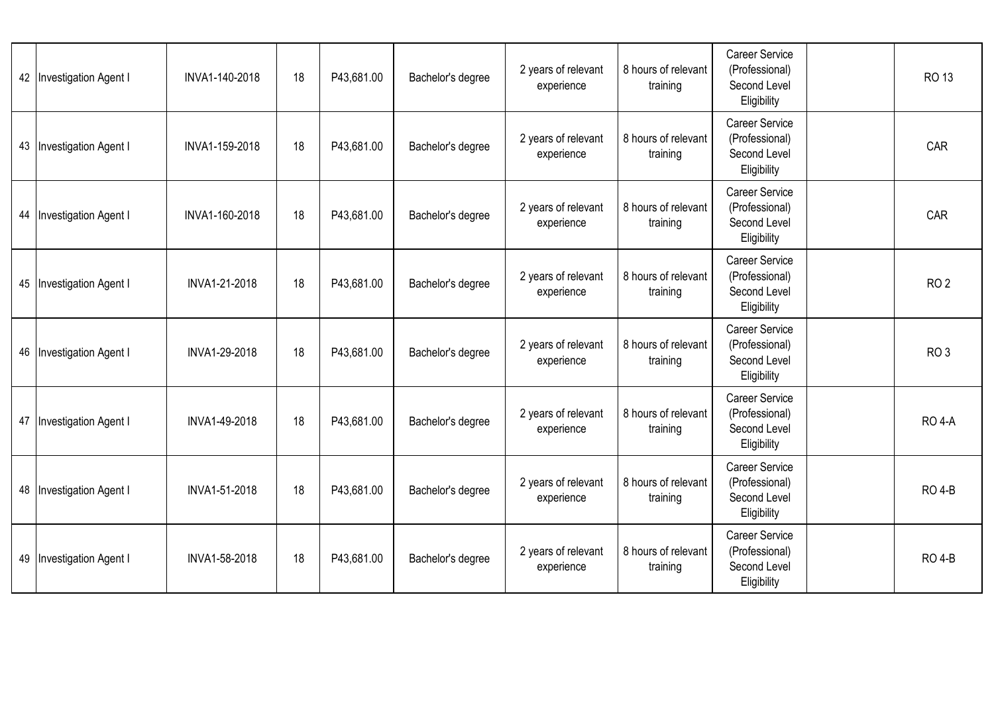|    | 42   Investigation Agent I   | INVA1-140-2018 | 18 | P43,681.00 | Bachelor's degree | 2 years of relevant<br>experience | 8 hours of relevant<br>training | <b>Career Service</b><br>(Professional)<br>Second Level<br>Eligibility | RO 13           |
|----|------------------------------|----------------|----|------------|-------------------|-----------------------------------|---------------------------------|------------------------------------------------------------------------|-----------------|
|    | 43   Investigation Agent I   | INVA1-159-2018 | 18 | P43,681.00 | Bachelor's degree | 2 years of relevant<br>experience | 8 hours of relevant<br>training | Career Service<br>(Professional)<br>Second Level<br>Eligibility        | CAR             |
|    | 44   Investigation Agent I   | INVA1-160-2018 | 18 | P43,681.00 | Bachelor's degree | 2 years of relevant<br>experience | 8 hours of relevant<br>training | <b>Career Service</b><br>(Professional)<br>Second Level<br>Eligibility | CAR             |
|    | 45   Investigation Agent I   | INVA1-21-2018  | 18 | P43,681.00 | Bachelor's degree | 2 years of relevant<br>experience | 8 hours of relevant<br>training | <b>Career Service</b><br>(Professional)<br>Second Level<br>Eligibility | RO <sub>2</sub> |
| 46 | <b>Investigation Agent I</b> | INVA1-29-2018  | 18 | P43,681.00 | Bachelor's degree | 2 years of relevant<br>experience | 8 hours of relevant<br>training | Career Service<br>(Professional)<br>Second Level<br>Eligibility        | RO <sub>3</sub> |
|    | 47   Investigation Agent I   | INVA1-49-2018  | 18 | P43,681.00 | Bachelor's degree | 2 years of relevant<br>experience | 8 hours of relevant<br>training | Career Service<br>(Professional)<br>Second Level<br>Eligibility        | <b>RO 4-A</b>   |
|    | 48   Investigation Agent I   | INVA1-51-2018  | 18 | P43,681.00 | Bachelor's degree | 2 years of relevant<br>experience | 8 hours of relevant<br>training | <b>Career Service</b><br>(Professional)<br>Second Level<br>Eligibility | <b>RO 4-B</b>   |
| 49 | <b>Investigation Agent I</b> | INVA1-58-2018  | 18 | P43,681.00 | Bachelor's degree | 2 years of relevant<br>experience | 8 hours of relevant<br>training | <b>Career Service</b><br>(Professional)<br>Second Level<br>Eligibility | <b>RO 4-B</b>   |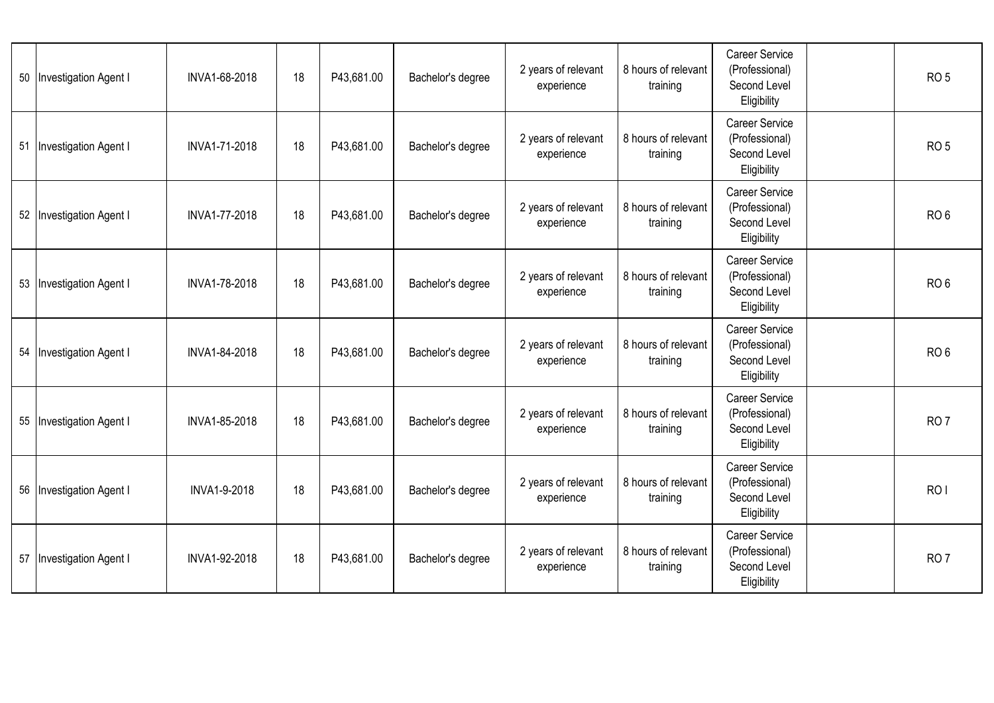|    | 50   Investigation Agent I   | INVA1-68-2018 | 18 | P43,681.00 | Bachelor's degree | 2 years of relevant<br>experience | 8 hours of relevant<br>training | <b>Career Service</b><br>(Professional)<br>Second Level<br>Eligibility | RO <sub>5</sub> |
|----|------------------------------|---------------|----|------------|-------------------|-----------------------------------|---------------------------------|------------------------------------------------------------------------|-----------------|
| 51 | <b>Investigation Agent I</b> | INVA1-71-2018 | 18 | P43,681.00 | Bachelor's degree | 2 years of relevant<br>experience | 8 hours of relevant<br>training | <b>Career Service</b><br>(Professional)<br>Second Level<br>Eligibility | RO <sub>5</sub> |
|    | 52   Investigation Agent I   | INVA1-77-2018 | 18 | P43,681.00 | Bachelor's degree | 2 years of relevant<br>experience | 8 hours of relevant<br>training | Career Service<br>(Professional)<br>Second Level<br>Eligibility        | RO <sub>6</sub> |
|    | 53   Investigation Agent I   | INVA1-78-2018 | 18 | P43,681.00 | Bachelor's degree | 2 years of relevant<br>experience | 8 hours of relevant<br>training | <b>Career Service</b><br>(Professional)<br>Second Level<br>Eligibility | RO <sub>6</sub> |
| 54 | <b>Investigation Agent I</b> | INVA1-84-2018 | 18 | P43,681.00 | Bachelor's degree | 2 years of relevant<br>experience | 8 hours of relevant<br>training | Career Service<br>(Professional)<br>Second Level<br>Eligibility        | RO <sub>6</sub> |
|    | 55   Investigation Agent I   | INVA1-85-2018 | 18 | P43,681.00 | Bachelor's degree | 2 years of relevant<br>experience | 8 hours of relevant<br>training | Career Service<br>(Professional)<br>Second Level<br>Eligibility        | RO <sub>7</sub> |
|    | 56 Investigation Agent I     | INVA1-9-2018  | 18 | P43,681.00 | Bachelor's degree | 2 years of relevant<br>experience | 8 hours of relevant<br>training | <b>Career Service</b><br>(Professional)<br>Second Level<br>Eligibility | RO <sub>I</sub> |
| 57 | <b>Investigation Agent I</b> | INVA1-92-2018 | 18 | P43,681.00 | Bachelor's degree | 2 years of relevant<br>experience | 8 hours of relevant<br>training | <b>Career Service</b><br>(Professional)<br>Second Level<br>Eligibility | RO <sub>7</sub> |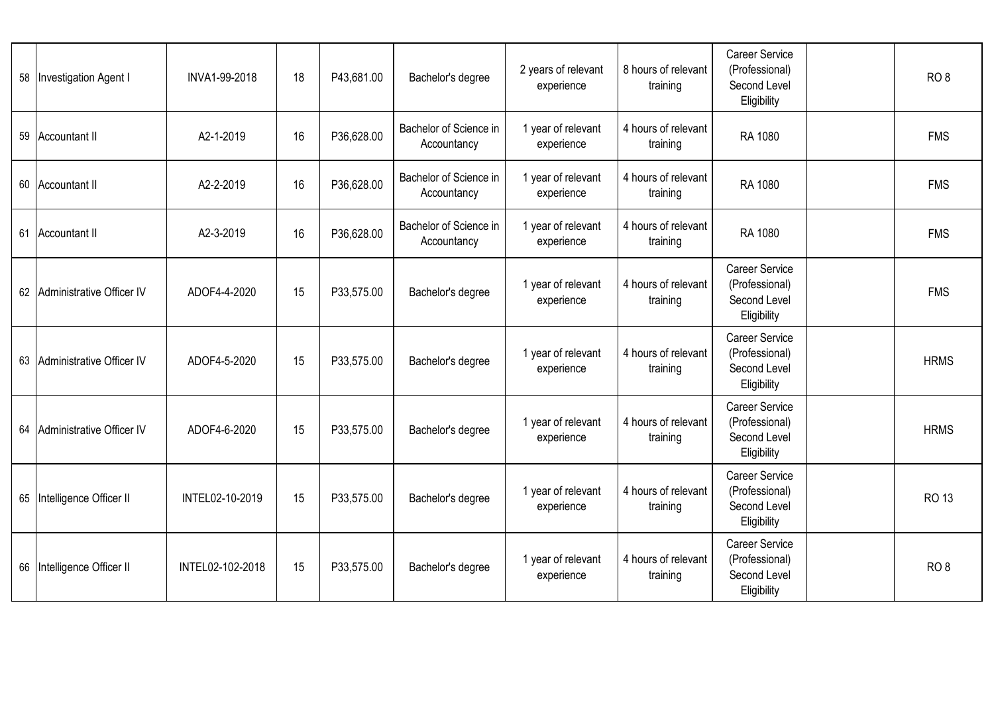| 58 | <b>Investigation Agent I</b> | INVA1-99-2018    | 18 | P43,681.00 | Bachelor's degree                     | 2 years of relevant<br>experience | 8 hours of relevant<br>training | <b>Career Service</b><br>(Professional)<br>Second Level<br>Eligibility | RO <sub>8</sub> |
|----|------------------------------|------------------|----|------------|---------------------------------------|-----------------------------------|---------------------------------|------------------------------------------------------------------------|-----------------|
| 59 | Accountant II                | A2-1-2019        | 16 | P36,628.00 | Bachelor of Science in<br>Accountancy | 1 year of relevant<br>experience  | 4 hours of relevant<br>training | RA 1080                                                                | <b>FMS</b>      |
| 60 | Accountant II                | A2-2-2019        | 16 | P36,628.00 | Bachelor of Science in<br>Accountancy | 1 year of relevant<br>experience  | 4 hours of relevant<br>training | RA 1080                                                                | <b>FMS</b>      |
| 61 | <b>Accountant II</b>         | A2-3-2019        | 16 | P36,628.00 | Bachelor of Science in<br>Accountancy | 1 year of relevant<br>experience  | 4 hours of relevant<br>training | RA 1080                                                                | <b>FMS</b>      |
|    | 62 Administrative Officer IV | ADOF4-4-2020     | 15 | P33,575.00 | Bachelor's degree                     | 1 year of relevant<br>experience  | 4 hours of relevant<br>training | <b>Career Service</b><br>(Professional)<br>Second Level<br>Eligibility | <b>FMS</b>      |
| 63 | Administrative Officer IV    | ADOF4-5-2020     | 15 | P33,575.00 | Bachelor's degree                     | 1 year of relevant<br>experience  | 4 hours of relevant<br>training | Career Service<br>(Professional)<br>Second Level<br>Eligibility        | <b>HRMS</b>     |
| 64 | Administrative Officer IV    | ADOF4-6-2020     | 15 | P33,575.00 | Bachelor's degree                     | 1 year of relevant<br>experience  | 4 hours of relevant<br>training | <b>Career Service</b><br>(Professional)<br>Second Level<br>Eligibility | <b>HRMS</b>     |
| 65 | Intelligence Officer II      | INTEL02-10-2019  | 15 | P33,575.00 | Bachelor's degree                     | 1 year of relevant<br>experience  | 4 hours of relevant<br>training | Career Service<br>(Professional)<br>Second Level<br>Eligibility        | <b>RO13</b>     |
| 66 | Intelligence Officer II      | INTEL02-102-2018 | 15 | P33,575.00 | Bachelor's degree                     | 1 year of relevant<br>experience  | 4 hours of relevant<br>training | Career Service<br>(Professional)<br>Second Level<br>Eligibility        | RO <sub>8</sub> |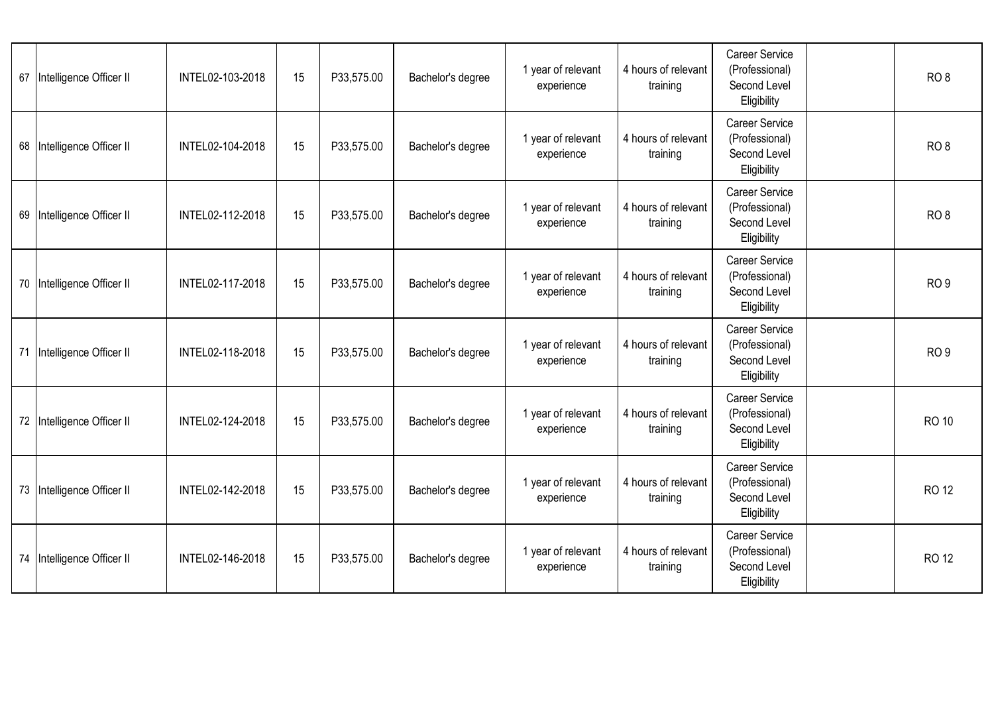| 67 | Intelligence Officer II    | INTEL02-103-2018 | 15 | P33,575.00 | Bachelor's degree | 1 year of relevant<br>experience | 4 hours of relevant<br>training | <b>Career Service</b><br>(Professional)<br>Second Level<br>Eligibility | RO <sub>8</sub> |
|----|----------------------------|------------------|----|------------|-------------------|----------------------------------|---------------------------------|------------------------------------------------------------------------|-----------------|
| 68 | Intelligence Officer II    | INTEL02-104-2018 | 15 | P33,575.00 | Bachelor's degree | 1 year of relevant<br>experience | 4 hours of relevant<br>training | Career Service<br>(Professional)<br>Second Level<br>Eligibility        | RO <sub>8</sub> |
|    | 69 Intelligence Officer II | INTEL02-112-2018 | 15 | P33,575.00 | Bachelor's degree | 1 year of relevant<br>experience | 4 hours of relevant<br>training | Career Service<br>(Professional)<br>Second Level<br>Eligibility        | RO <sub>8</sub> |
|    | 70 Intelligence Officer II | INTEL02-117-2018 | 15 | P33,575.00 | Bachelor's degree | 1 year of relevant<br>experience | 4 hours of relevant<br>training | <b>Career Service</b><br>(Professional)<br>Second Level<br>Eligibility | RO <sub>9</sub> |
| 71 | Intelligence Officer II    | INTEL02-118-2018 | 15 | P33,575.00 | Bachelor's degree | 1 year of relevant<br>experience | 4 hours of relevant<br>training | <b>Career Service</b><br>(Professional)<br>Second Level<br>Eligibility | RO <sub>9</sub> |
|    | 72 Intelligence Officer II | INTEL02-124-2018 | 15 | P33,575.00 | Bachelor's degree | 1 year of relevant<br>experience | 4 hours of relevant<br>training | Career Service<br>(Professional)<br>Second Level<br>Eligibility        | <b>RO 10</b>    |
|    | 73 Intelligence Officer II | INTEL02-142-2018 | 15 | P33,575.00 | Bachelor's degree | 1 year of relevant<br>experience | 4 hours of relevant<br>training | <b>Career Service</b><br>(Professional)<br>Second Level<br>Eligibility | <b>RO 12</b>    |
|    | 74 Intelligence Officer II | INTEL02-146-2018 | 15 | P33,575.00 | Bachelor's degree | 1 year of relevant<br>experience | 4 hours of relevant<br>training | <b>Career Service</b><br>(Professional)<br>Second Level<br>Eligibility | <b>RO 12</b>    |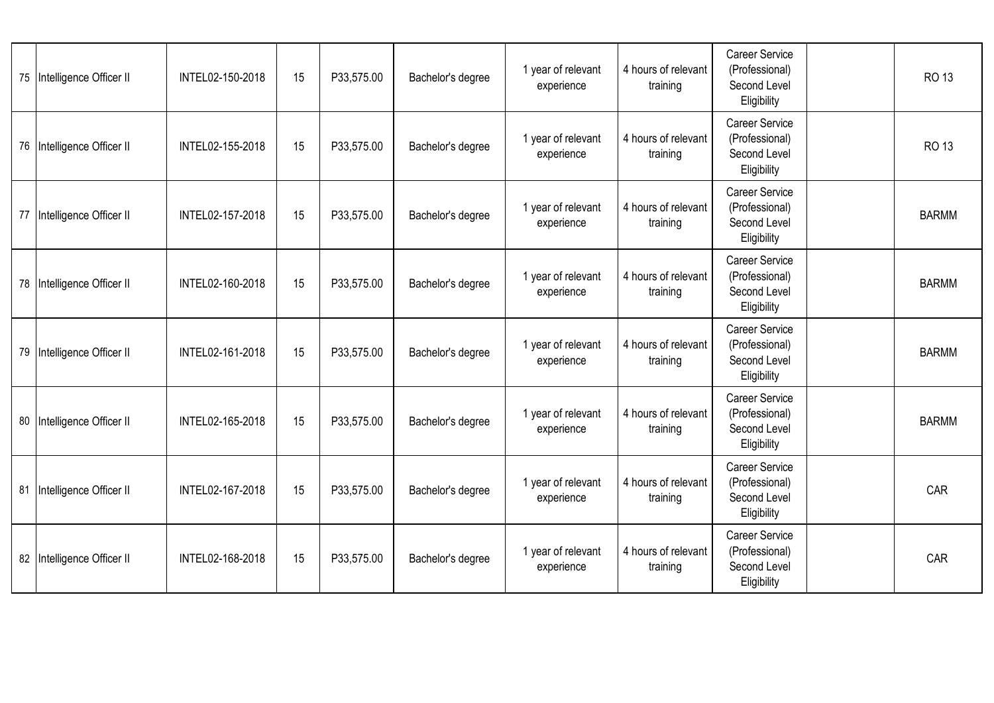|    | 75 Intelligence Officer II | INTEL02-150-2018 | 15 | P33,575.00 | Bachelor's degree | 1 year of relevant<br>experience | 4 hours of relevant<br>training | <b>Career Service</b><br>(Professional)<br>Second Level<br>Eligibility | RO 13        |
|----|----------------------------|------------------|----|------------|-------------------|----------------------------------|---------------------------------|------------------------------------------------------------------------|--------------|
|    | 76 Intelligence Officer II | INTEL02-155-2018 | 15 | P33,575.00 | Bachelor's degree | 1 year of relevant<br>experience | 4 hours of relevant<br>training | Career Service<br>(Professional)<br>Second Level<br>Eligibility        | <b>RO 13</b> |
|    | 77 Intelligence Officer II | INTEL02-157-2018 | 15 | P33,575.00 | Bachelor's degree | 1 year of relevant<br>experience | 4 hours of relevant<br>training | <b>Career Service</b><br>(Professional)<br>Second Level<br>Eligibility | <b>BARMM</b> |
|    | 78 Intelligence Officer II | INTEL02-160-2018 | 15 | P33,575.00 | Bachelor's degree | 1 year of relevant<br>experience | 4 hours of relevant<br>training | <b>Career Service</b><br>(Professional)<br>Second Level<br>Eligibility | <b>BARMM</b> |
| 79 | Intelligence Officer II    | INTEL02-161-2018 | 15 | P33,575.00 | Bachelor's degree | 1 year of relevant<br>experience | 4 hours of relevant<br>training | <b>Career Service</b><br>(Professional)<br>Second Level<br>Eligibility | <b>BARMM</b> |
|    | 80 Intelligence Officer II | INTEL02-165-2018 | 15 | P33,575.00 | Bachelor's degree | 1 year of relevant<br>experience | 4 hours of relevant<br>training | Career Service<br>(Professional)<br>Second Level<br>Eligibility        | <b>BARMM</b> |
|    | 81 Intelligence Officer II | INTEL02-167-2018 | 15 | P33,575.00 | Bachelor's degree | 1 year of relevant<br>experience | 4 hours of relevant<br>training | <b>Career Service</b><br>(Professional)<br>Second Level<br>Eligibility | CAR          |
|    | 82 Intelligence Officer II | INTEL02-168-2018 | 15 | P33,575.00 | Bachelor's degree | 1 year of relevant<br>experience | 4 hours of relevant<br>training | <b>Career Service</b><br>(Professional)<br>Second Level<br>Eligibility | CAR          |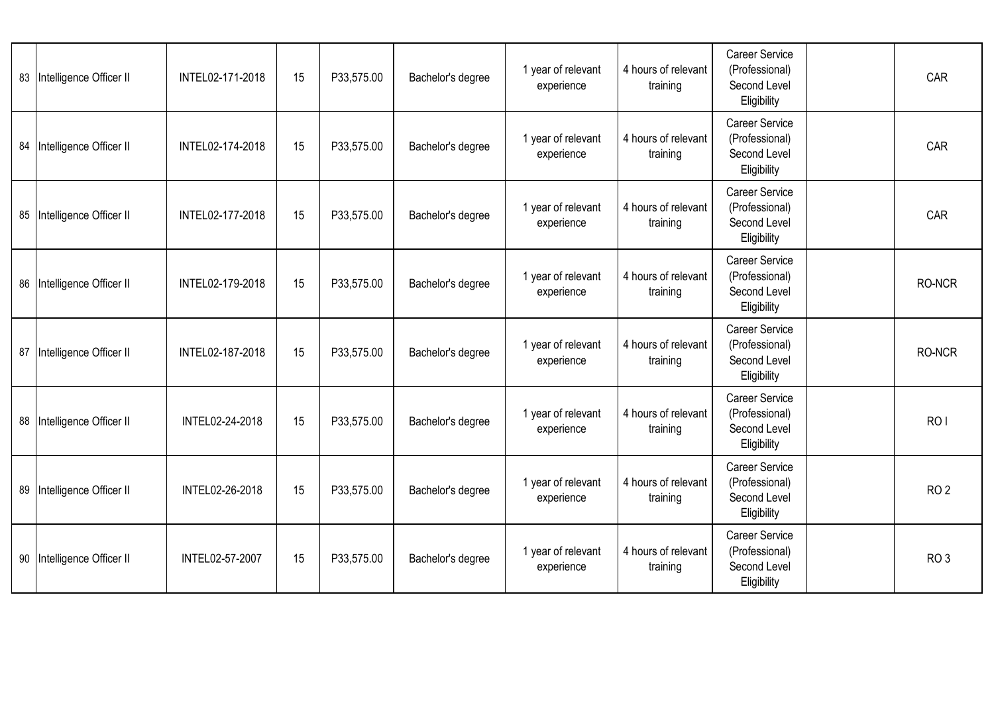|    | 83 Intelligence Officer II | INTEL02-171-2018 | 15 | P33,575.00 | Bachelor's degree | 1 year of relevant<br>experience | 4 hours of relevant<br>training | <b>Career Service</b><br>(Professional)<br>Second Level<br>Eligibility | CAR             |
|----|----------------------------|------------------|----|------------|-------------------|----------------------------------|---------------------------------|------------------------------------------------------------------------|-----------------|
| 84 | Intelligence Officer II    | INTEL02-174-2018 | 15 | P33,575.00 | Bachelor's degree | 1 year of relevant<br>experience | 4 hours of relevant<br>training | <b>Career Service</b><br>(Professional)<br>Second Level<br>Eligibility | CAR             |
|    | 85 Intelligence Officer II | INTEL02-177-2018 | 15 | P33,575.00 | Bachelor's degree | 1 year of relevant<br>experience | 4 hours of relevant<br>training | <b>Career Service</b><br>(Professional)<br>Second Level<br>Eligibility | CAR             |
|    | 86 Intelligence Officer II | INTEL02-179-2018 | 15 | P33,575.00 | Bachelor's degree | 1 year of relevant<br>experience | 4 hours of relevant<br>training | <b>Career Service</b><br>(Professional)<br>Second Level<br>Eligibility | RO-NCR          |
| 87 | Intelligence Officer II    | INTEL02-187-2018 | 15 | P33,575.00 | Bachelor's degree | 1 year of relevant<br>experience | 4 hours of relevant<br>training | <b>Career Service</b><br>(Professional)<br>Second Level<br>Eligibility | RO-NCR          |
|    | 88 Intelligence Officer II | INTEL02-24-2018  | 15 | P33,575.00 | Bachelor's degree | 1 year of relevant<br>experience | 4 hours of relevant<br>training | <b>Career Service</b><br>(Professional)<br>Second Level<br>Eligibility | RO <sub>I</sub> |
|    | 89 Intelligence Officer II | INTEL02-26-2018  | 15 | P33,575.00 | Bachelor's degree | 1 year of relevant<br>experience | 4 hours of relevant<br>training | <b>Career Service</b><br>(Professional)<br>Second Level<br>Eligibility | RO <sub>2</sub> |
| 90 | Intelligence Officer II    | INTEL02-57-2007  | 15 | P33,575.00 | Bachelor's degree | 1 year of relevant<br>experience | 4 hours of relevant<br>training | <b>Career Service</b><br>(Professional)<br>Second Level<br>Eligibility | RO <sub>3</sub> |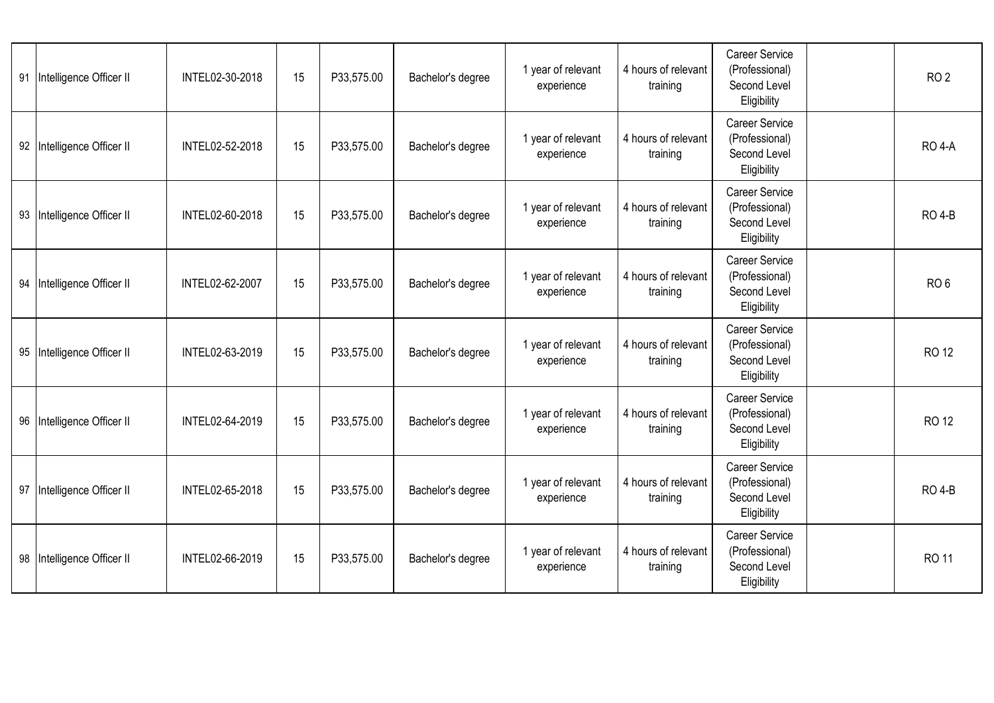| 91 | Intelligence Officer II    | INTEL02-30-2018 | 15 | P33,575.00 | Bachelor's degree | 1 year of relevant<br>experience | 4 hours of relevant<br>training | <b>Career Service</b><br>(Professional)<br>Second Level<br>Eligibility | RO <sub>2</sub> |
|----|----------------------------|-----------------|----|------------|-------------------|----------------------------------|---------------------------------|------------------------------------------------------------------------|-----------------|
| 92 | Intelligence Officer II    | INTEL02-52-2018 | 15 | P33,575.00 | Bachelor's degree | 1 year of relevant<br>experience | 4 hours of relevant<br>training | <b>Career Service</b><br>(Professional)<br>Second Level<br>Eligibility | <b>RO 4-A</b>   |
|    | 93 Intelligence Officer II | INTEL02-60-2018 | 15 | P33,575.00 | Bachelor's degree | 1 year of relevant<br>experience | 4 hours of relevant<br>training | <b>Career Service</b><br>(Professional)<br>Second Level<br>Eligibility | <b>RO 4-B</b>   |
| 94 | Intelligence Officer II    | INTEL02-62-2007 | 15 | P33,575.00 | Bachelor's degree | 1 year of relevant<br>experience | 4 hours of relevant<br>training | <b>Career Service</b><br>(Professional)<br>Second Level<br>Eligibility | RO <sub>6</sub> |
| 95 | Intelligence Officer II    | INTEL02-63-2019 | 15 | P33,575.00 | Bachelor's degree | 1 year of relevant<br>experience | 4 hours of relevant<br>training | <b>Career Service</b><br>(Professional)<br>Second Level<br>Eligibility | <b>RO 12</b>    |
|    | 96 Intelligence Officer II | INTEL02-64-2019 | 15 | P33,575.00 | Bachelor's degree | 1 year of relevant<br>experience | 4 hours of relevant<br>training | <b>Career Service</b><br>(Professional)<br>Second Level<br>Eligibility | <b>RO 12</b>    |
| 97 | Intelligence Officer II    | INTEL02-65-2018 | 15 | P33,575.00 | Bachelor's degree | 1 year of relevant<br>experience | 4 hours of relevant<br>training | <b>Career Service</b><br>(Professional)<br>Second Level<br>Eligibility | <b>RO 4-B</b>   |
| 98 | Intelligence Officer II    | INTEL02-66-2019 | 15 | P33,575.00 | Bachelor's degree | 1 year of relevant<br>experience | 4 hours of relevant<br>training | <b>Career Service</b><br>(Professional)<br>Second Level<br>Eligibility | RO 11           |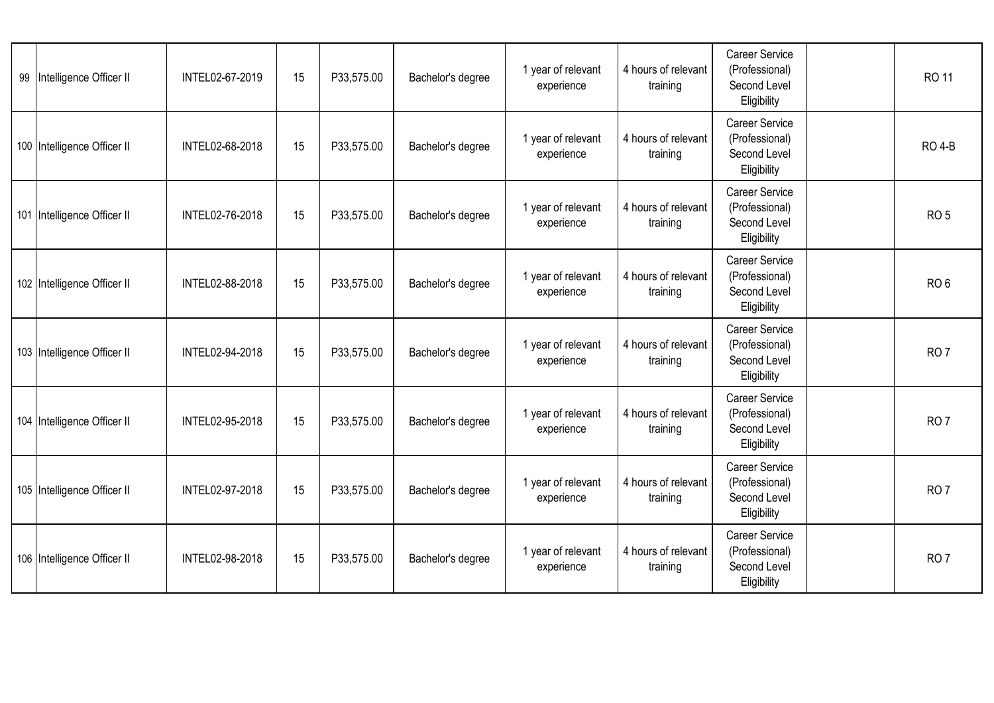| 99 Intelligence Officer II  | INTEL02-67-2019 | 15 | P33,575.00 | Bachelor's degree | 1 year of relevant<br>experience | 4 hours of relevant<br>training | <b>Career Service</b><br>(Professional)<br>Second Level<br>Eligibility | RO 11           |
|-----------------------------|-----------------|----|------------|-------------------|----------------------------------|---------------------------------|------------------------------------------------------------------------|-----------------|
| 100 Intelligence Officer II | INTEL02-68-2018 | 15 | P33,575.00 | Bachelor's degree | 1 year of relevant<br>experience | 4 hours of relevant<br>training | Career Service<br>(Professional)<br>Second Level<br>Eligibility        | <b>RO 4-B</b>   |
| 101 Intelligence Officer II | INTEL02-76-2018 | 15 | P33,575.00 | Bachelor's degree | 1 year of relevant<br>experience | 4 hours of relevant<br>training | Career Service<br>(Professional)<br>Second Level<br>Eligibility        | RO <sub>5</sub> |
| 102 Intelligence Officer II | INTEL02-88-2018 | 15 | P33,575.00 | Bachelor's degree | 1 year of relevant<br>experience | 4 hours of relevant<br>training | <b>Career Service</b><br>(Professional)<br>Second Level<br>Eligibility | RO <sub>6</sub> |
| 103 Intelligence Officer II | INTEL02-94-2018 | 15 | P33,575.00 | Bachelor's degree | 1 year of relevant<br>experience | 4 hours of relevant<br>training | <b>Career Service</b><br>(Professional)<br>Second Level<br>Eligibility | RO <sub>7</sub> |
| 104 Intelligence Officer II | INTEL02-95-2018 | 15 | P33,575.00 | Bachelor's degree | 1 year of relevant<br>experience | 4 hours of relevant<br>training | Career Service<br>(Professional)<br>Second Level<br>Eligibility        | RO <sub>7</sub> |
| 105 Intelligence Officer II | INTEL02-97-2018 | 15 | P33,575.00 | Bachelor's degree | 1 year of relevant<br>experience | 4 hours of relevant<br>training | <b>Career Service</b><br>(Professional)<br>Second Level<br>Eligibility | RO <sub>7</sub> |
| 106 Intelligence Officer II | INTEL02-98-2018 | 15 | P33,575.00 | Bachelor's degree | 1 year of relevant<br>experience | 4 hours of relevant<br>training | <b>Career Service</b><br>(Professional)<br>Second Level<br>Eligibility | RO <sub>7</sub> |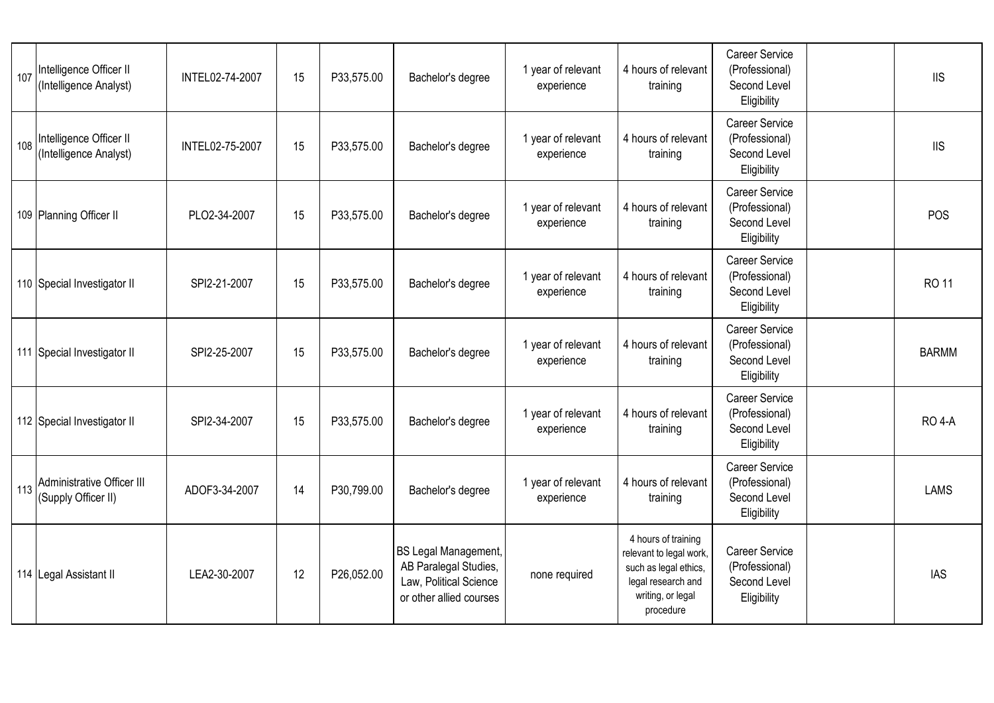| 107 Intelligence Officer II<br>(Intelligence Analyst) | INTEL02-74-2007 | 15 | P33,575.00 | Bachelor's degree                                                                                         | 1 year of relevant<br>experience | 4 hours of relevant<br>training                                                                                                 | <b>Career Service</b><br>(Professional)<br>Second Level<br>Eligibility | <b>IIS</b>    |
|-------------------------------------------------------|-----------------|----|------------|-----------------------------------------------------------------------------------------------------------|----------------------------------|---------------------------------------------------------------------------------------------------------------------------------|------------------------------------------------------------------------|---------------|
| 108 Intelligence Officer II<br>(Intelligence Analyst) | INTEL02-75-2007 | 15 | P33,575.00 | Bachelor's degree                                                                                         | 1 year of relevant<br>experience | 4 hours of relevant<br>training                                                                                                 | <b>Career Service</b><br>(Professional)<br>Second Level<br>Eligibility | <b>IIS</b>    |
| 109 Planning Officer II                               | PLO2-34-2007    | 15 | P33,575.00 | Bachelor's degree                                                                                         | 1 year of relevant<br>experience | 4 hours of relevant<br>training                                                                                                 | <b>Career Service</b><br>(Professional)<br>Second Level<br>Eligibility | POS           |
| 110 Special Investigator II                           | SPI2-21-2007    | 15 | P33,575.00 | Bachelor's degree                                                                                         | 1 year of relevant<br>experience | 4 hours of relevant<br>training                                                                                                 | <b>Career Service</b><br>(Professional)<br>Second Level<br>Eligibility | <b>RO 11</b>  |
| 111 Special Investigator II                           | SPI2-25-2007    | 15 | P33,575.00 | Bachelor's degree                                                                                         | 1 year of relevant<br>experience | 4 hours of relevant<br>training                                                                                                 | <b>Career Service</b><br>(Professional)<br>Second Level<br>Eligibility | <b>BARMM</b>  |
| 112 Special Investigator II                           | SPI2-34-2007    | 15 | P33,575.00 | Bachelor's degree                                                                                         | 1 year of relevant<br>experience | 4 hours of relevant<br>training                                                                                                 | <b>Career Service</b><br>(Professional)<br>Second Level<br>Eligibility | <b>RO 4-A</b> |
| 113 Administrative Officer III<br>(Supply Officer II) | ADOF3-34-2007   | 14 | P30,799.00 | Bachelor's degree                                                                                         | 1 year of relevant<br>experience | 4 hours of relevant<br>training                                                                                                 | <b>Career Service</b><br>(Professional)<br>Second Level<br>Eligibility | <b>LAMS</b>   |
| 114 Legal Assistant II                                | LEA2-30-2007    | 12 | P26,052.00 | <b>BS Legal Management,</b><br>AB Paralegal Studies,<br>Law, Political Science<br>or other allied courses | none required                    | 4 hours of training<br>relevant to legal work,<br>such as legal ethics,<br>legal research and<br>writing, or legal<br>procedure | <b>Career Service</b><br>(Professional)<br>Second Level<br>Eligibility | <b>IAS</b>    |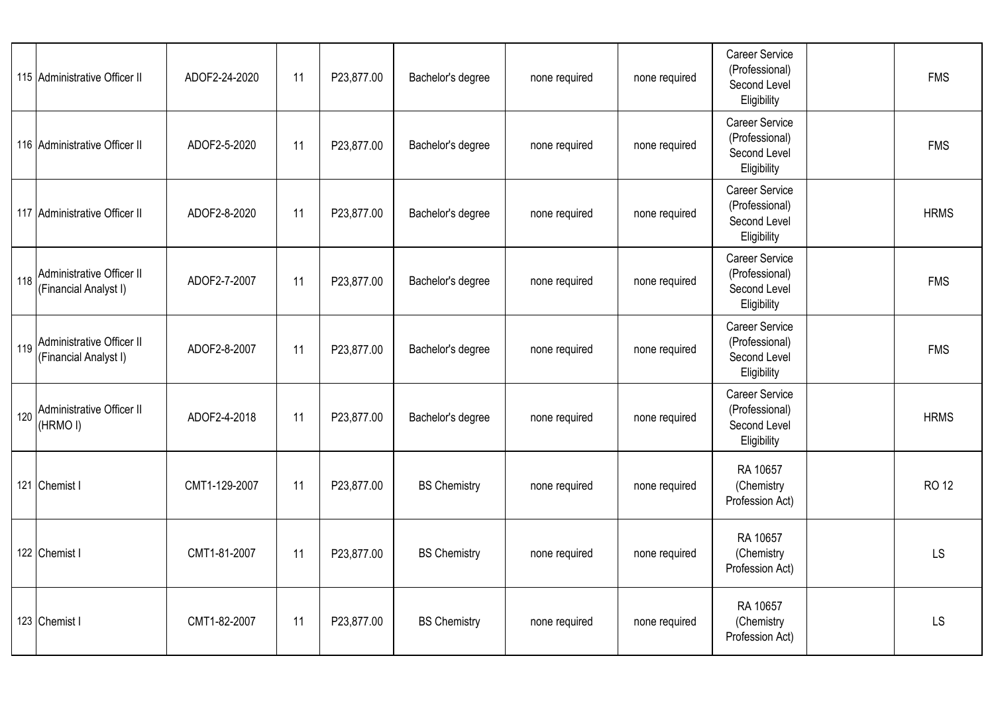| 115 Administrative Officer II                          | ADOF2-24-2020 | 11 | P23,877.00 | Bachelor's degree   | none required | none required | Career Service<br>(Professional)<br>Second Level<br>Eligibility        | <b>FMS</b>   |
|--------------------------------------------------------|---------------|----|------------|---------------------|---------------|---------------|------------------------------------------------------------------------|--------------|
| 116 Administrative Officer II                          | ADOF2-5-2020  | 11 | P23,877.00 | Bachelor's degree   | none required | none required | <b>Career Service</b><br>(Professional)<br>Second Level<br>Eligibility | <b>FMS</b>   |
| 117 Administrative Officer II                          | ADOF2-8-2020  | 11 | P23,877.00 | Bachelor's degree   | none required | none required | <b>Career Service</b><br>(Professional)<br>Second Level<br>Eligibility | <b>HRMS</b>  |
| 118 Administrative Officer II<br>(Financial Analyst I) | ADOF2-7-2007  | 11 | P23,877.00 | Bachelor's degree   | none required | none required | Career Service<br>(Professional)<br>Second Level<br>Eligibility        | <b>FMS</b>   |
| 119 Administrative Officer II<br>(Financial Analyst I) | ADOF2-8-2007  | 11 | P23,877.00 | Bachelor's degree   | none required | none required | Career Service<br>(Professional)<br>Second Level<br>Eligibility        | <b>FMS</b>   |
| 120 Administrative Officer II<br>(HRMOI)               | ADOF2-4-2018  | 11 | P23,877.00 | Bachelor's degree   | none required | none required | Career Service<br>(Professional)<br>Second Level<br>Eligibility        | <b>HRMS</b>  |
| 121 Chemist I                                          | CMT1-129-2007 | 11 | P23,877.00 | <b>BS Chemistry</b> | none required | none required | RA 10657<br>(Chemistry<br>Profession Act)                              | <b>RO 12</b> |
| 122 Chemist I                                          | CMT1-81-2007  | 11 | P23,877.00 | <b>BS Chemistry</b> | none required | none required | RA 10657<br>(Chemistry<br>Profession Act)                              | <b>LS</b>    |
| 123 Chemist I                                          | CMT1-82-2007  | 11 | P23,877.00 | <b>BS Chemistry</b> | none required | none required | RA 10657<br>(Chemistry<br>Profession Act)                              | LS           |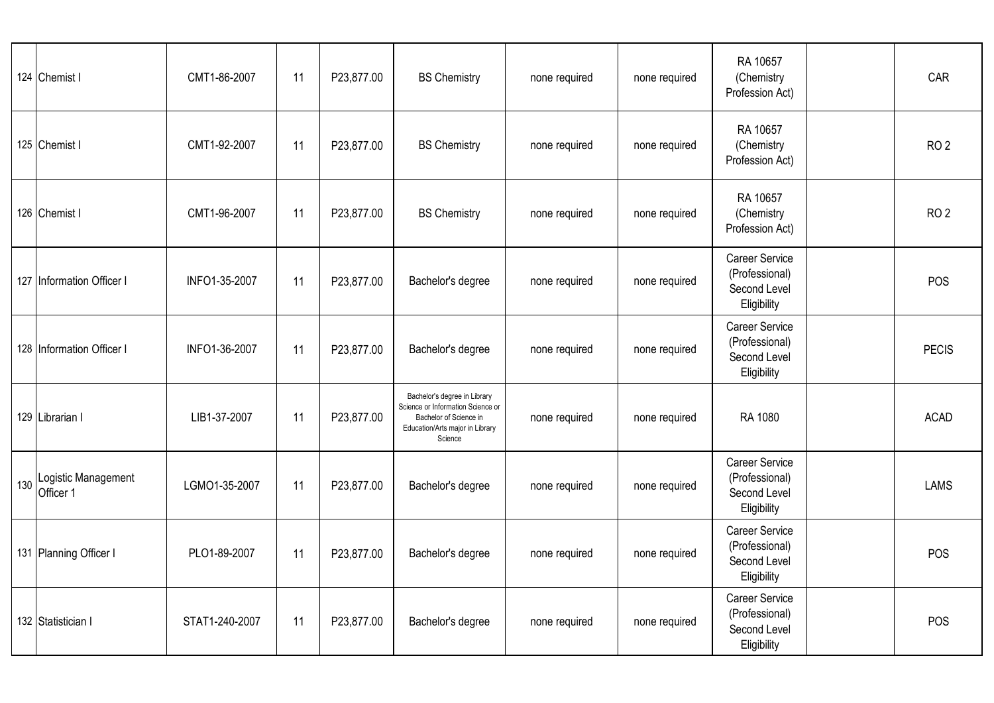| 124 Chemist I                        | CMT1-86-2007   | 11 | P23,877.00 | <b>BS Chemistry</b>                                                                                                                       | none required | none required | RA 10657<br>(Chemistry<br>Profession Act)                              | CAR             |
|--------------------------------------|----------------|----|------------|-------------------------------------------------------------------------------------------------------------------------------------------|---------------|---------------|------------------------------------------------------------------------|-----------------|
| 125 Chemist I                        | CMT1-92-2007   | 11 | P23,877.00 | <b>BS Chemistry</b>                                                                                                                       | none required | none required | RA 10657<br>(Chemistry<br>Profession Act)                              | RO <sub>2</sub> |
| 126 Chemist I                        | CMT1-96-2007   | 11 | P23,877.00 | <b>BS Chemistry</b>                                                                                                                       | none required | none required | RA 10657<br>(Chemistry<br>Profession Act)                              | RO <sub>2</sub> |
| 127 Information Officer I            | INFO1-35-2007  | 11 | P23,877.00 | Bachelor's degree                                                                                                                         | none required | none required | <b>Career Service</b><br>(Professional)<br>Second Level<br>Eligibility | POS             |
| 128 Information Officer I            | INFO1-36-2007  | 11 | P23,877.00 | Bachelor's degree                                                                                                                         | none required | none required | Career Service<br>(Professional)<br>Second Level<br>Eligibility        | <b>PECIS</b>    |
| 129 Librarian                        | LIB1-37-2007   | 11 | P23,877.00 | Bachelor's degree in Library<br>Science or Information Science or<br>Bachelor of Science in<br>Education/Arts major in Library<br>Science | none required | none required | RA 1080                                                                | <b>ACAD</b>     |
| 130 Logistic Management<br>Officer 1 | LGMO1-35-2007  | 11 | P23,877.00 | Bachelor's degree                                                                                                                         | none required | none required | <b>Career Service</b><br>(Professional)<br>Second Level<br>Eligibility | <b>LAMS</b>     |
| 131 Planning Officer I               | PLO1-89-2007   | 11 | P23,877.00 | Bachelor's degree                                                                                                                         | none required | none required | <b>Career Service</b><br>(Professional)<br>Second Level<br>Eligibility | POS             |
| 132 Statistician I                   | STAT1-240-2007 | 11 | P23,877.00 | Bachelor's degree                                                                                                                         | none required | none required | <b>Career Service</b><br>(Professional)<br>Second Level<br>Eligibility | POS             |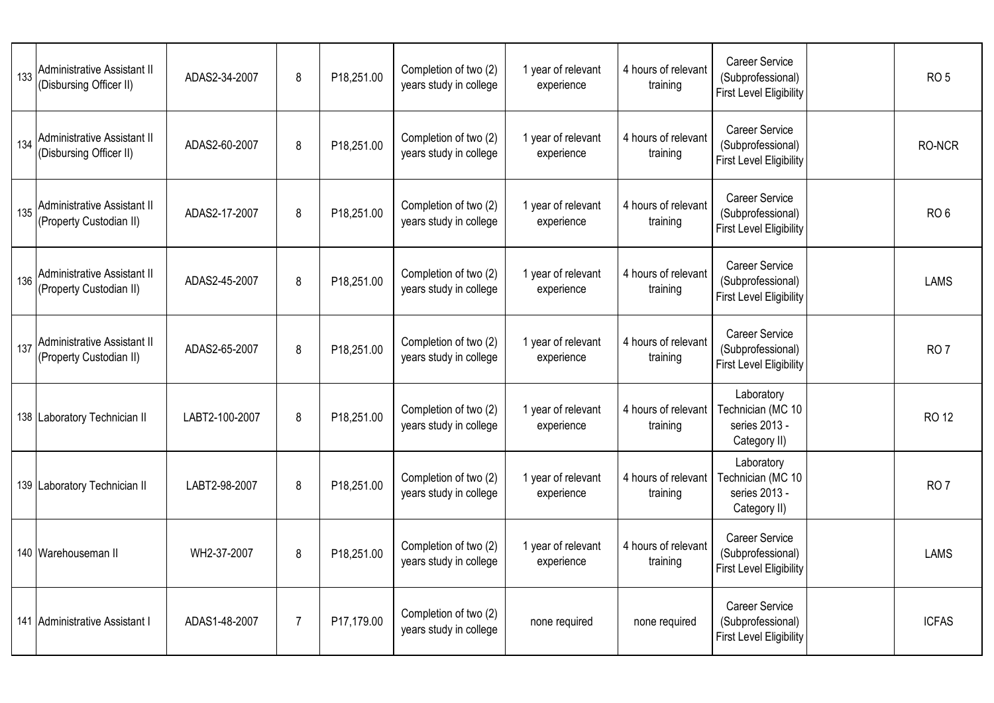| 133 | Administrative Assistant II<br>(Disbursing Officer II)        | ADAS2-34-2007  | 8              | P18,251.00 | Completion of two (2)<br>years study in college | 1 year of relevant<br>experience | 4 hours of relevant<br>training | <b>Career Service</b><br>(Subprofessional)<br><b>First Level Eligibility</b> | RO <sub>5</sub> |
|-----|---------------------------------------------------------------|----------------|----------------|------------|-------------------------------------------------|----------------------------------|---------------------------------|------------------------------------------------------------------------------|-----------------|
| 134 | Administrative Assistant II<br>(Disbursing Officer II)        | ADAS2-60-2007  | 8              | P18,251.00 | Completion of two (2)<br>years study in college | 1 year of relevant<br>experience | 4 hours of relevant<br>training | <b>Career Service</b><br>(Subprofessional)<br><b>First Level Eligibility</b> | RO-NCR          |
| 135 | Administrative Assistant II<br>(Property Custodian II)        | ADAS2-17-2007  | 8              | P18,251.00 | Completion of two (2)<br>years study in college | 1 year of relevant<br>experience | 4 hours of relevant<br>training | <b>Career Service</b><br>(Subprofessional)<br><b>First Level Eligibility</b> | RO <sub>6</sub> |
| 136 | Administrative Assistant II<br>(Property Custodian II)        | ADAS2-45-2007  | 8              | P18,251.00 | Completion of two (2)<br>years study in college | 1 year of relevant<br>experience | 4 hours of relevant<br>training | <b>Career Service</b><br>(Subprofessional)<br><b>First Level Eligibility</b> | <b>LAMS</b>     |
| 137 | <b>Administrative Assistant II</b><br>(Property Custodian II) | ADAS2-65-2007  | 8              | P18,251.00 | Completion of two (2)<br>years study in college | 1 year of relevant<br>experience | 4 hours of relevant<br>training | <b>Career Service</b><br>(Subprofessional)<br><b>First Level Eligibility</b> | RO <sub>7</sub> |
|     | 138 Laboratory Technician II                                  | LABT2-100-2007 | 8              | P18,251.00 | Completion of two (2)<br>years study in college | 1 year of relevant<br>experience | 4 hours of relevant<br>training | Laboratory<br>Technician (MC 10<br>series 2013 -<br>Category II)             | <b>RO 12</b>    |
|     | 139 Laboratory Technician II                                  | LABT2-98-2007  | 8              | P18,251.00 | Completion of two (2)<br>years study in college | 1 year of relevant<br>experience | 4 hours of relevant<br>training | Laboratory<br>Technician (MC 10<br>series 2013 -<br>Category II)             | RO <sub>7</sub> |
|     | 140 Warehouseman II                                           | WH2-37-2007    | 8              | P18,251.00 | Completion of two (2)<br>years study in college | 1 year of relevant<br>experience | 4 hours of relevant<br>training | <b>Career Service</b><br>(Subprofessional)<br><b>First Level Eligibility</b> | <b>LAMS</b>     |
|     | 141 Administrative Assistant I                                | ADAS1-48-2007  | $\overline{7}$ | P17,179.00 | Completion of two (2)<br>years study in college | none required                    | none required                   | <b>Career Service</b><br>(Subprofessional)<br><b>First Level Eligibility</b> | <b>ICFAS</b>    |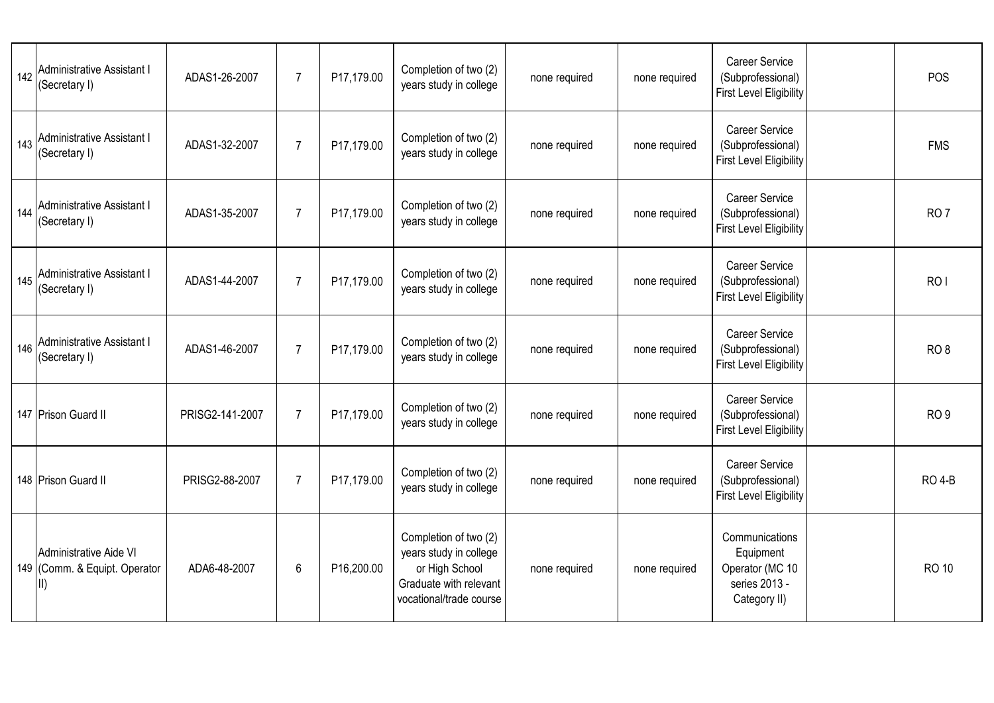| 142 | <b>Administrative Assistant I</b><br>(Secretary I)              | ADAS1-26-2007   | $\overline{7}$ | P17,179.00 | Completion of two (2)<br>years study in college                                                                        | none required | none required | <b>Career Service</b><br>(Subprofessional)<br><b>First Level Eligibility</b>    | POS             |
|-----|-----------------------------------------------------------------|-----------------|----------------|------------|------------------------------------------------------------------------------------------------------------------------|---------------|---------------|---------------------------------------------------------------------------------|-----------------|
| 143 | <b>Administrative Assistant I</b><br>(Secretary I)              | ADAS1-32-2007   | $\overline{7}$ | P17,179.00 | Completion of two (2)<br>years study in college                                                                        | none required | none required | <b>Career Service</b><br>(Subprofessional)<br><b>First Level Eligibility</b>    | <b>FMS</b>      |
| 144 | Administrative Assistant I<br>(Secretary I)                     | ADAS1-35-2007   | $\overline{7}$ | P17,179.00 | Completion of two (2)<br>years study in college                                                                        | none required | none required | <b>Career Service</b><br>(Subprofessional)<br><b>First Level Eligibility</b>    | RO <sub>7</sub> |
| 145 | Administrative Assistant I<br>(Secretary I)                     | ADAS1-44-2007   | $\overline{7}$ | P17,179.00 | Completion of two (2)<br>years study in college                                                                        | none required | none required | <b>Career Service</b><br>(Subprofessional)<br><b>First Level Eligibility</b>    | RO <sub>I</sub> |
| 146 | Administrative Assistant I<br>(Secretary I)                     | ADAS1-46-2007   | $\overline{7}$ | P17,179.00 | Completion of two (2)<br>years study in college                                                                        | none required | none required | <b>Career Service</b><br>(Subprofessional)<br><b>First Level Eligibility</b>    | RO <sub>8</sub> |
|     | 147 Prison Guard II                                             | PRISG2-141-2007 | $\overline{7}$ | P17,179.00 | Completion of two (2)<br>years study in college                                                                        | none required | none required | <b>Career Service</b><br>(Subprofessional)<br><b>First Level Eligibility</b>    | RO <sub>9</sub> |
|     | 148 Prison Guard II                                             | PRISG2-88-2007  | $\overline{7}$ | P17,179.00 | Completion of two (2)<br>years study in college                                                                        | none required | none required | <b>Career Service</b><br>(Subprofessional)<br><b>First Level Eligibility</b>    | <b>RO 4-B</b>   |
|     | Administrative Aide VI<br>149 (Comm. & Equipt. Operator<br>III) | ADA6-48-2007    | 6              | P16,200.00 | Completion of two (2)<br>years study in college<br>or High School<br>Graduate with relevant<br>vocational/trade course | none required | none required | Communications<br>Equipment<br>Operator (MC 10<br>series 2013 -<br>Category II) | <b>RO 10</b>    |